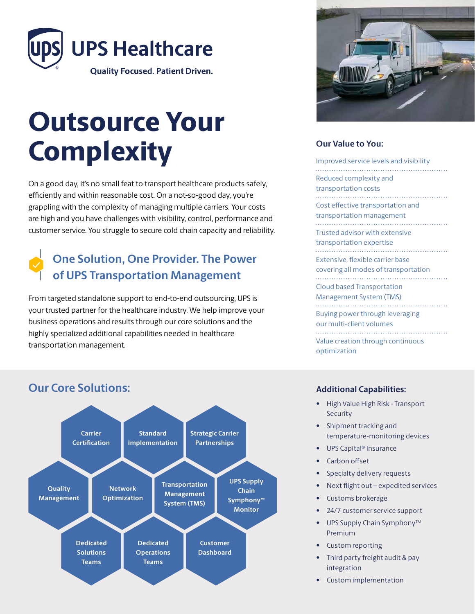

# Outsource Your **Complexity**

On a good day, it's no small feat to transport healthcare products safely, efficiently and within reasonable cost. On a not-so-good day, you're grappling with the complexity of managing multiple carriers. Your costs are high and you have challenges with visibility, control, performance and customer service. You struggle to secure cold chain capacity and reliability.

## **One Solution, One Provider. The Power of UPS Transportation Management**

From targeted standalone support to end-to-end outsourcing, UPS is your trusted partner for the healthcare industry. We help improve your business operations and results through our core solutions and the highly specialized additional capabilities needed in healthcare transportation management.



### **Our Value to You:**

| Improved service levels and visibility                                   |
|--------------------------------------------------------------------------|
| Reduced complexity and<br>transportation costs                           |
| Cost effective transportation and<br>transportation management           |
| Trusted advisor with extensive<br>transportation expertise               |
| Extensive, flexible carrier base<br>covering all modes of transportation |
| Cloud based Transportation<br>Management System (TMS)                    |
| Buying power through leveraging<br>our multi-client volumes              |
| Value creation through continuous<br>optimization                        |
|                                                                          |

#### **Carrier Certification Standard Implementation Strategic Carrier Partnerships Network Optimization Quality Management Transportation Management System (TMS) UPS Supply Chain Symphony™ Monitor Dedicated Solutions Teams Dedicated Operations Teams Customer Dashboard**

## **Our Core Solutions: Additional Capabilities:**

- 
- High Value High Risk Transport Security
- Shipment tracking and temperature-monitoring devices
- UPS Capital® Insurance
- Carbon offset
- Specialty delivery requests
- Next flight out expedited services
- Customs brokerage
- 24/7 customer service support
- UPS Supply Chain Symphony<sup>™</sup> Premium
- Custom reporting
- Third party freight audit & pay integration
- Custom implementation